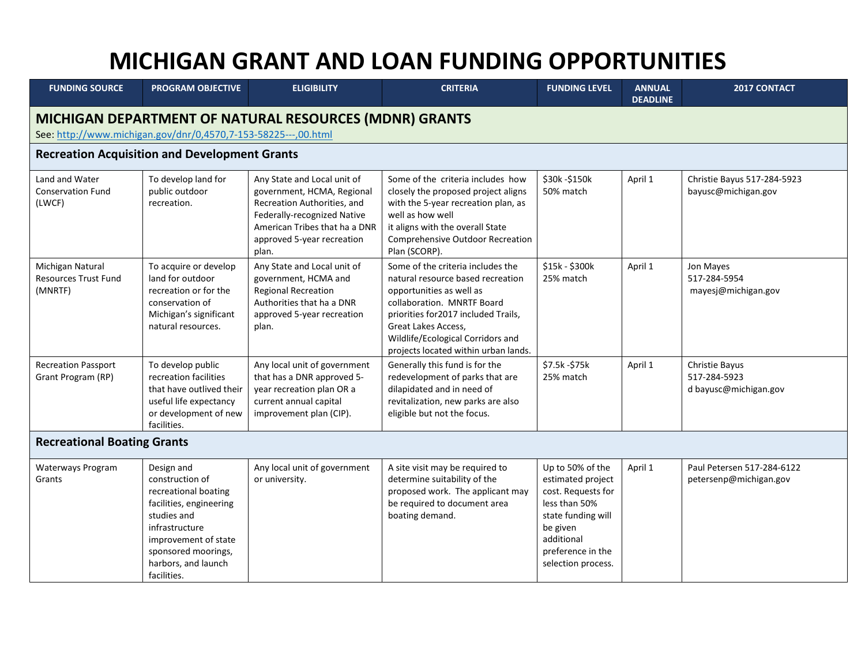## **MICHIGAN GRANT AND LOAN FUNDING OPPORTUNITIES**

| <b>FUNDING SOURCE</b>                                                                                                    | <b>PROGRAM OBJECTIVE</b>                                                                                                                                                                               | <b>ELIGIBILITY</b>                                                                                                                                                                              | <b>CRITERIA</b>                                                                                                                                                                                                                                                              | <b>FUNDING LEVEL</b>                                                                                                                                                    | <b>ANNUAL</b><br><b>DEADLINE</b> | 2017 CONTACT                                                   |  |  |
|--------------------------------------------------------------------------------------------------------------------------|--------------------------------------------------------------------------------------------------------------------------------------------------------------------------------------------------------|-------------------------------------------------------------------------------------------------------------------------------------------------------------------------------------------------|------------------------------------------------------------------------------------------------------------------------------------------------------------------------------------------------------------------------------------------------------------------------------|-------------------------------------------------------------------------------------------------------------------------------------------------------------------------|----------------------------------|----------------------------------------------------------------|--|--|
| MICHIGAN DEPARTMENT OF NATURAL RESOURCES (MDNR) GRANTS<br>See: http://www.michigan.gov/dnr/0,4570,7-153-58225---,00.html |                                                                                                                                                                                                        |                                                                                                                                                                                                 |                                                                                                                                                                                                                                                                              |                                                                                                                                                                         |                                  |                                                                |  |  |
| <b>Recreation Acquisition and Development Grants</b>                                                                     |                                                                                                                                                                                                        |                                                                                                                                                                                                 |                                                                                                                                                                                                                                                                              |                                                                                                                                                                         |                                  |                                                                |  |  |
| Land and Water<br><b>Conservation Fund</b><br>(LWCF)                                                                     | To develop land for<br>public outdoor<br>recreation.                                                                                                                                                   | Any State and Local unit of<br>government, HCMA, Regional<br>Recreation Authorities, and<br>Federally-recognized Native<br>American Tribes that ha a DNR<br>approved 5-year recreation<br>plan. | Some of the criteria includes how<br>closely the proposed project aligns<br>with the 5-year recreation plan, as<br>well as how well<br>it aligns with the overall State<br>Comprehensive Outdoor Recreation<br>Plan (SCORP).                                                 | \$30k - \$150k<br>50% match                                                                                                                                             | April 1                          | Christie Bayus 517-284-5923<br>bayusc@michigan.gov             |  |  |
| Michigan Natural<br><b>Resources Trust Fund</b><br>(MNRTF)                                                               | To acquire or develop<br>land for outdoor<br>recreation or for the<br>conservation of<br>Michigan's significant<br>natural resources.                                                                  | Any State and Local unit of<br>government, HCMA and<br><b>Regional Recreation</b><br>Authorities that ha a DNR<br>approved 5-year recreation<br>plan.                                           | Some of the criteria includes the<br>natural resource based recreation<br>opportunities as well as<br>collaboration. MNRTF Board<br>priorities for 2017 included Trails,<br>Great Lakes Access,<br>Wildlife/Ecological Corridors and<br>projects located within urban lands. | \$15k - \$300k<br>25% match                                                                                                                                             | April 1                          | Jon Mayes<br>517-284-5954<br>mayesj@michigan.gov               |  |  |
| <b>Recreation Passport</b><br>Grant Program (RP)                                                                         | To develop public<br>recreation facilities<br>that have outlived their<br>useful life expectancy<br>or development of new<br>facilities.                                                               | Any local unit of government<br>that has a DNR approved 5-<br>year recreation plan OR a<br>current annual capital<br>improvement plan (CIP).                                                    | Generally this fund is for the<br>redevelopment of parks that are<br>dilapidated and in need of<br>revitalization, new parks are also<br>eligible but not the focus.                                                                                                         | \$7.5k - \$75k<br>25% match                                                                                                                                             | April 1                          | <b>Christie Bayus</b><br>517-284-5923<br>d bayusc@michigan.gov |  |  |
| <b>Recreational Boating Grants</b>                                                                                       |                                                                                                                                                                                                        |                                                                                                                                                                                                 |                                                                                                                                                                                                                                                                              |                                                                                                                                                                         |                                  |                                                                |  |  |
| Waterways Program<br>Grants                                                                                              | Design and<br>construction of<br>recreational boating<br>facilities, engineering<br>studies and<br>infrastructure<br>improvement of state<br>sponsored moorings,<br>harbors, and launch<br>facilities. | Any local unit of government<br>or university.                                                                                                                                                  | A site visit may be required to<br>determine suitability of the<br>proposed work. The applicant may<br>be required to document area<br>boating demand.                                                                                                                       | Up to 50% of the<br>estimated project<br>cost. Requests for<br>less than 50%<br>state funding will<br>be given<br>additional<br>preference in the<br>selection process. | April 1                          | Paul Petersen 517-284-6122<br>petersenp@michigan.gov           |  |  |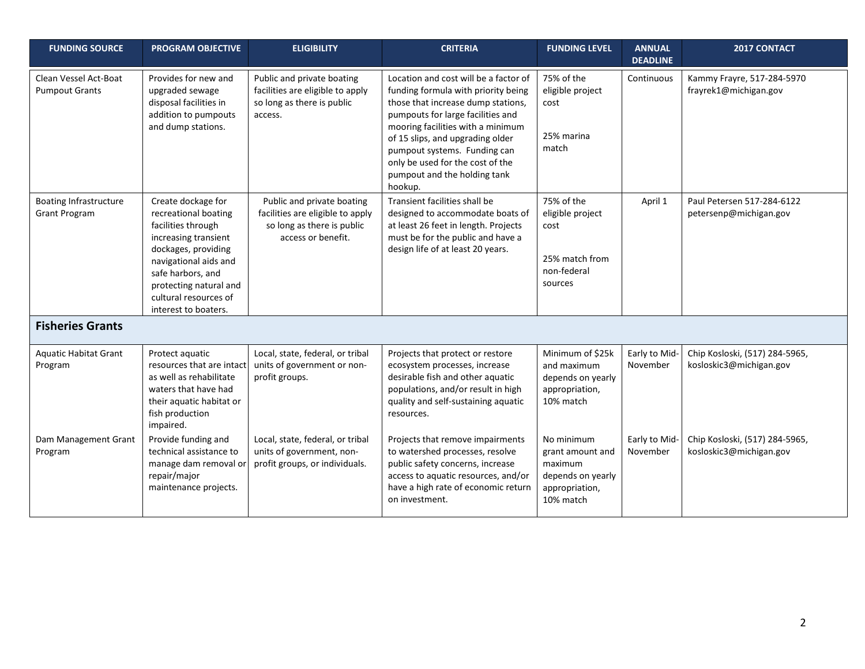| <b>FUNDING SOURCE</b>                                 | <b>PROGRAM OBJECTIVE</b>                                                                                                                                                                                                                 | <b>ELIGIBILITY</b>                                                                                                 | <b>CRITERIA</b>                                                                                                                                                                                                                                                                                                                                 | <b>FUNDING LEVEL</b>                                                                          | <b>ANNUAL</b><br><b>DEADLINE</b> | 2017 CONTACT                                              |
|-------------------------------------------------------|------------------------------------------------------------------------------------------------------------------------------------------------------------------------------------------------------------------------------------------|--------------------------------------------------------------------------------------------------------------------|-------------------------------------------------------------------------------------------------------------------------------------------------------------------------------------------------------------------------------------------------------------------------------------------------------------------------------------------------|-----------------------------------------------------------------------------------------------|----------------------------------|-----------------------------------------------------------|
| Clean Vessel Act-Boat<br><b>Pumpout Grants</b>        | Provides for new and<br>upgraded sewage<br>disposal facilities in<br>addition to pumpouts<br>and dump stations.                                                                                                                          | Public and private boating<br>facilities are eligible to apply<br>so long as there is public<br>access.            | Location and cost will be a factor of<br>funding formula with priority being<br>those that increase dump stations,<br>pumpouts for large facilities and<br>mooring facilities with a minimum<br>of 15 slips, and upgrading older<br>pumpout systems. Funding can<br>only be used for the cost of the<br>pumpout and the holding tank<br>hookup. | 75% of the<br>eligible project<br>cost<br>25% marina<br>match                                 | Continuous                       | Kammy Frayre, 517-284-5970<br>frayrek1@michigan.gov       |
| <b>Boating Infrastructure</b><br><b>Grant Program</b> | Create dockage for<br>recreational boating<br>facilities through<br>increasing transient<br>dockages, providing<br>navigational aids and<br>safe harbors, and<br>protecting natural and<br>cultural resources of<br>interest to boaters. | Public and private boating<br>facilities are eligible to apply<br>so long as there is public<br>access or benefit. | Transient facilities shall be<br>designed to accommodate boats of<br>at least 26 feet in length. Projects<br>must be for the public and have a<br>design life of at least 20 years.                                                                                                                                                             | 75% of the<br>eligible project<br>cost<br>25% match from<br>non-federal<br>sources            | April 1                          | Paul Petersen 517-284-6122<br>petersenp@michigan.gov      |
| <b>Fisheries Grants</b>                               |                                                                                                                                                                                                                                          |                                                                                                                    |                                                                                                                                                                                                                                                                                                                                                 |                                                                                               |                                  |                                                           |
| <b>Aquatic Habitat Grant</b><br>Program               | Protect aquatic<br>resources that are intact<br>as well as rehabilitate<br>waters that have had<br>their aquatic habitat or<br>fish production<br>impaired.                                                                              | Local, state, federal, or tribal<br>units of government or non-<br>profit groups.                                  | Projects that protect or restore<br>ecosystem processes, increase<br>desirable fish and other aquatic<br>populations, and/or result in high<br>quality and self-sustaining aquatic<br>resources.                                                                                                                                                | Minimum of \$25k<br>and maximum<br>depends on yearly<br>appropriation,<br>10% match           | Early to Mid-<br>November        | Chip Kosloski, (517) 284-5965,<br>kosloskic3@michigan.gov |
| Dam Management Grant<br>Program                       | Provide funding and<br>technical assistance to<br>manage dam removal or<br>repair/major<br>maintenance projects.                                                                                                                         | Local, state, federal, or tribal<br>units of government, non-<br>profit groups, or individuals.                    | Projects that remove impairments<br>to watershed processes, resolve<br>public safety concerns, increase<br>access to aquatic resources, and/or<br>have a high rate of economic return<br>on investment.                                                                                                                                         | No minimum<br>grant amount and<br>maximum<br>depends on yearly<br>appropriation,<br>10% match | Early to Mid-<br>November        | Chip Kosloski, (517) 284-5965,<br>kosloskic3@michigan.gov |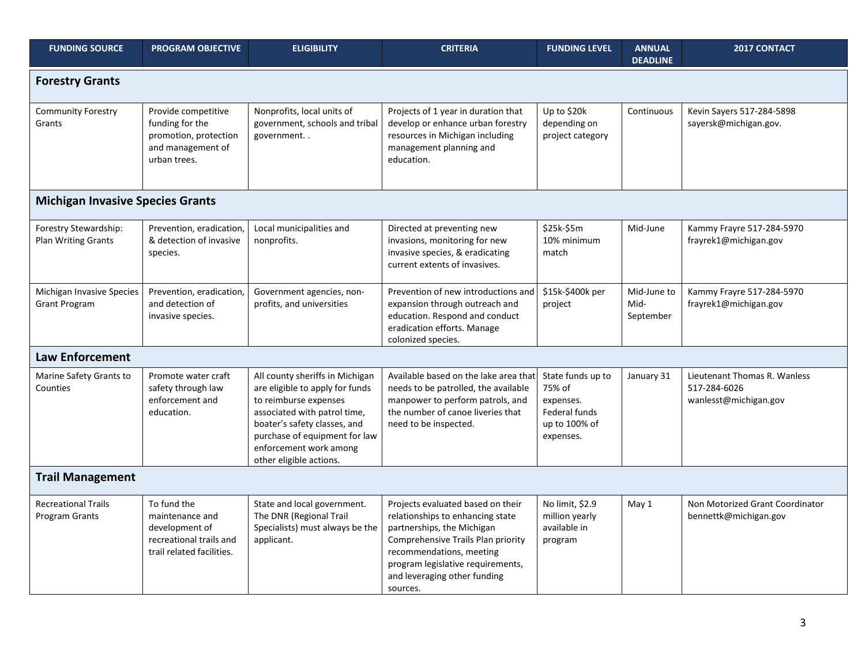| <b>FUNDING SOURCE</b>                               | <b>PROGRAM OBJECTIVE</b>                                                                                 | <b>ELIGIBILITY</b>                                                                                                                                                                                                                                | <b>CRITERIA</b>                                                                                                                                                                                                                                        | <b>FUNDING LEVEL</b>                                                                    | <b>ANNUAL</b><br><b>DEADLINE</b> | <b>2017 CONTACT</b>                                                   |
|-----------------------------------------------------|----------------------------------------------------------------------------------------------------------|---------------------------------------------------------------------------------------------------------------------------------------------------------------------------------------------------------------------------------------------------|--------------------------------------------------------------------------------------------------------------------------------------------------------------------------------------------------------------------------------------------------------|-----------------------------------------------------------------------------------------|----------------------------------|-----------------------------------------------------------------------|
| <b>Forestry Grants</b>                              |                                                                                                          |                                                                                                                                                                                                                                                   |                                                                                                                                                                                                                                                        |                                                                                         |                                  |                                                                       |
| Community Forestry<br>Grants                        | Provide competitive<br>funding for the<br>promotion, protection<br>and management of<br>urban trees.     | Nonprofits, local units of<br>government, schools and tribal<br>government                                                                                                                                                                        | Projects of 1 year in duration that<br>develop or enhance urban forestry<br>resources in Michigan including<br>management planning and<br>education.                                                                                                   | Up to \$20k<br>depending on<br>project category                                         | Continuous                       | Kevin Sayers 517-284-5898<br>sayersk@michigan.gov.                    |
| <b>Michigan Invasive Species Grants</b>             |                                                                                                          |                                                                                                                                                                                                                                                   |                                                                                                                                                                                                                                                        |                                                                                         |                                  |                                                                       |
| Forestry Stewardship:<br><b>Plan Writing Grants</b> | Prevention, eradication,<br>& detection of invasive<br>species.                                          | Local municipalities and<br>nonprofits.                                                                                                                                                                                                           | Directed at preventing new<br>invasions, monitoring for new<br>invasive species, & eradicating<br>current extents of invasives.                                                                                                                        | \$25k-\$5m<br>10% minimum<br>match                                                      | Mid-June                         | Kammy Frayre 517-284-5970<br>frayrek1@michigan.gov                    |
| Michigan Invasive Species<br><b>Grant Program</b>   | Prevention, eradication,<br>and detection of<br>invasive species.                                        | Government agencies, non-<br>profits, and universities                                                                                                                                                                                            | Prevention of new introductions and<br>expansion through outreach and<br>education. Respond and conduct<br>eradication efforts. Manage<br>colonized species.                                                                                           | \$15k-\$400k per<br>project                                                             | Mid-June to<br>Mid-<br>September | Kammy Frayre 517-284-5970<br>frayrek1@michigan.gov                    |
| <b>Law Enforcement</b>                              |                                                                                                          |                                                                                                                                                                                                                                                   |                                                                                                                                                                                                                                                        |                                                                                         |                                  |                                                                       |
| Marine Safety Grants to<br>Counties                 | Promote water craft<br>safety through law<br>enforcement and<br>education.                               | All county sheriffs in Michigan<br>are eligible to apply for funds<br>to reimburse expenses<br>associated with patrol time,<br>boater's safety classes, and<br>purchase of equipment for law<br>enforcement work among<br>other eligible actions. | Available based on the lake area that<br>needs to be patrolled, the available<br>manpower to perform patrols, and<br>the number of canoe liveries that<br>need to be inspected.                                                                        | State funds up to<br>75% of<br>expenses.<br>Federal funds<br>up to 100% of<br>expenses. | January 31                       | Lieutenant Thomas R. Wanless<br>517-284-6026<br>wanlesst@michigan.gov |
| <b>Trail Management</b>                             |                                                                                                          |                                                                                                                                                                                                                                                   |                                                                                                                                                                                                                                                        |                                                                                         |                                  |                                                                       |
| <b>Recreational Trails</b><br><b>Program Grants</b> | To fund the<br>maintenance and<br>development of<br>recreational trails and<br>trail related facilities. | State and local government.<br>The DNR (Regional Trail<br>Specialists) must always be the<br>applicant.                                                                                                                                           | Projects evaluated based on their<br>relationships to enhancing state<br>partnerships, the Michigan<br>Comprehensive Trails Plan priority<br>recommendations, meeting<br>program legislative requirements,<br>and leveraging other funding<br>sources. | No limit, \$2.9<br>million yearly<br>available in<br>program                            | May 1                            | Non Motorized Grant Coordinator<br>bennettk@michigan.gov              |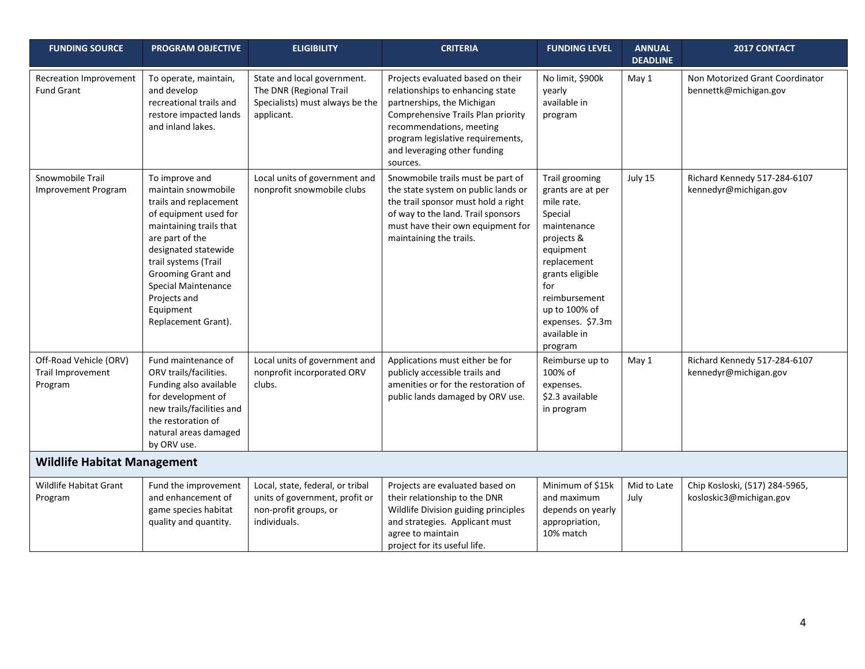| <b>FUNDING SOURCE</b>                                  | <b>PROGRAM OBJECTIVE</b>                                                                                                                                                                                                                                                                | <b>ELIGIBILITY</b>                                                                                          | <b>CRITERIA</b>                                                                                                                                                                                                                                        | <b>FUNDING LEVEL</b>                                                                                                                                                                                                             | <b>ANNUAL</b><br><b>DEADLINE</b> | 2017 CONTACT                                              |
|--------------------------------------------------------|-----------------------------------------------------------------------------------------------------------------------------------------------------------------------------------------------------------------------------------------------------------------------------------------|-------------------------------------------------------------------------------------------------------------|--------------------------------------------------------------------------------------------------------------------------------------------------------------------------------------------------------------------------------------------------------|----------------------------------------------------------------------------------------------------------------------------------------------------------------------------------------------------------------------------------|----------------------------------|-----------------------------------------------------------|
| <b>Recreation Improvement</b><br><b>Fund Grant</b>     | To operate, maintain,<br>and develop<br>recreational trails and<br>restore impacted lands<br>and inland lakes.                                                                                                                                                                          | State and local government.<br>The DNR (Regional Trail<br>Specialists) must always be the<br>applicant.     | Projects evaluated based on their<br>relationships to enhancing state<br>partnerships, the Michigan<br>Comprehensive Trails Plan priority<br>recommendations, meeting<br>program legislative requirements,<br>and leveraging other funding<br>sources. | No limit, \$900k<br>yearly<br>available in<br>program                                                                                                                                                                            | May 1                            | Non Motorized Grant Coordinator<br>bennettk@michigan.gov  |
| Snowmobile Trail<br><b>Improvement Program</b>         | To improve and<br>maintain snowmobile<br>trails and replacement<br>of equipment used for<br>maintaining trails that<br>are part of the<br>designated statewide<br>trail systems (Trail<br>Grooming Grant and<br>Special Maintenance<br>Projects and<br>Equipment<br>Replacement Grant). | Local units of government and<br>nonprofit snowmobile clubs                                                 | Snowmobile trails must be part of<br>the state system on public lands or<br>the trail sponsor must hold a right<br>of way to the land. Trail sponsors<br>must have their own equipment for<br>maintaining the trails.                                  | Trail grooming<br>grants are at per<br>mile rate.<br>Special<br>maintenance<br>projects &<br>equipment<br>replacement<br>grants eligible<br>for<br>reimbursement<br>up to 100% of<br>expenses. \$7.3m<br>available in<br>program | July 15                          | Richard Kennedy 517-284-6107<br>kennedyr@michigan.gov     |
| Off-Road Vehicle (ORV)<br>Trail Improvement<br>Program | Fund maintenance of<br>ORV trails/facilities.<br>Funding also available<br>for development of<br>new trails/facilities and<br>the restoration of<br>natural areas damaged<br>by ORV use.                                                                                                | Local units of government and<br>nonprofit incorporated ORV<br>clubs.                                       | Applications must either be for<br>publicly accessible trails and<br>amenities or for the restoration of<br>public lands damaged by ORV use.                                                                                                           | Reimburse up to<br>100% of<br>expenses.<br>\$2.3 available<br>in program                                                                                                                                                         | May 1                            | Richard Kennedy 517-284-6107<br>kennedyr@michigan.gov     |
| <b>Wildlife Habitat Management</b>                     |                                                                                                                                                                                                                                                                                         |                                                                                                             |                                                                                                                                                                                                                                                        |                                                                                                                                                                                                                                  |                                  |                                                           |
| <b>Wildlife Habitat Grant</b><br>Program               | Fund the improvement<br>and enhancement of<br>game species habitat<br>quality and quantity.                                                                                                                                                                                             | Local, state, federal, or tribal<br>units of government, profit or<br>non-profit groups, or<br>individuals. | Projects are evaluated based on<br>their relationship to the DNR<br>Wildlife Division guiding principles<br>and strategies. Applicant must<br>agree to maintain<br>project for its useful life.                                                        | Minimum of \$15k<br>and maximum<br>depends on yearly<br>appropriation,<br>10% match                                                                                                                                              | Mid to Late<br>July              | Chip Kosloski, (517) 284-5965,<br>kosloskic3@michigan.gov |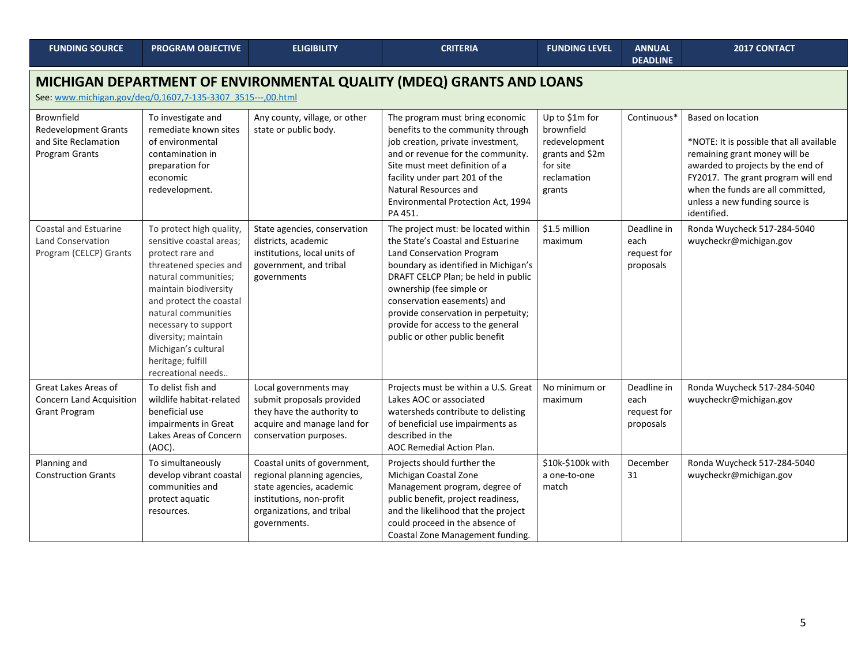| <b>FUNDING SOURCE</b>                                                                                                               | <b>PROGRAM OBJECTIVE</b>                                                                                                                                                                                                                                                                                               | <b>ELIGIBILITY</b>                                                                                                                                               | <b>CRITERIA</b>                                                                                                                                                                                                                                                                                                                                               | <b>FUNDING LEVEL</b>                                                                                  | <b>ANNUAL</b><br><b>DEADLINE</b>                | <b>2017 CONTACT</b>                                                                                                                                                                                                                                             |  |  |
|-------------------------------------------------------------------------------------------------------------------------------------|------------------------------------------------------------------------------------------------------------------------------------------------------------------------------------------------------------------------------------------------------------------------------------------------------------------------|------------------------------------------------------------------------------------------------------------------------------------------------------------------|---------------------------------------------------------------------------------------------------------------------------------------------------------------------------------------------------------------------------------------------------------------------------------------------------------------------------------------------------------------|-------------------------------------------------------------------------------------------------------|-------------------------------------------------|-----------------------------------------------------------------------------------------------------------------------------------------------------------------------------------------------------------------------------------------------------------------|--|--|
| MICHIGAN DEPARTMENT OF ENVIRONMENTAL QUALITY (MDEQ) GRANTS AND LOANS<br>See: www.michigan.gov/deq/0,1607,7-135-3307 3515---,00.html |                                                                                                                                                                                                                                                                                                                        |                                                                                                                                                                  |                                                                                                                                                                                                                                                                                                                                                               |                                                                                                       |                                                 |                                                                                                                                                                                                                                                                 |  |  |
| Brownfield<br><b>Redevelopment Grants</b><br>and Site Reclamation<br><b>Program Grants</b>                                          | To investigate and<br>remediate known sites<br>of environmental<br>contamination in<br>preparation for<br>economic<br>redevelopment.                                                                                                                                                                                   | Any county, village, or other<br>state or public body.                                                                                                           | The program must bring economic<br>benefits to the community through<br>job creation, private investment,<br>and or revenue for the community.<br>Site must meet definition of a<br>facility under part 201 of the<br>Natural Resources and<br>Environmental Protection Act, 1994<br>PA 451.                                                                  | Up to \$1m for<br>brownfield<br>redevelopment<br>grants and \$2m<br>for site<br>reclamation<br>grants | Continuous*                                     | Based on location<br>*NOTE: It is possible that all available<br>remaining grant money will be<br>awarded to projects by the end of<br>FY2017. The grant program will end<br>when the funds are all committed,<br>unless a new funding source is<br>identified. |  |  |
| Coastal and Estuarine<br><b>Land Conservation</b><br>Program (CELCP) Grants                                                         | To protect high quality,<br>sensitive coastal areas;<br>protect rare and<br>threatened species and<br>natural communities;<br>maintain biodiversity<br>and protect the coastal<br>natural communities<br>necessary to support<br>diversity; maintain<br>Michigan's cultural<br>heritage; fulfill<br>recreational needs | State agencies, conservation<br>districts, academic<br>institutions, local units of<br>government, and tribal<br>governments                                     | The project must: be located within<br>the State's Coastal and Estuarine<br>Land Conservation Program<br>boundary as identified in Michigan's<br>DRAFT CELCP Plan; be held in public<br>ownership (fee simple or<br>conservation easements) and<br>provide conservation in perpetuity;<br>provide for access to the general<br>public or other public benefit | \$1.5 million<br>maximum                                                                              | Deadline in<br>each<br>request for<br>proposals | Ronda Wuycheck 517-284-5040<br>wuycheckr@michigan.gov                                                                                                                                                                                                           |  |  |
| Great Lakes Areas of<br><b>Concern Land Acquisition</b><br><b>Grant Program</b>                                                     | To delist fish and<br>wildlife habitat-related<br>beneficial use<br>impairments in Great<br>Lakes Areas of Concern<br>$(AOC)$ .                                                                                                                                                                                        | Local governments may<br>submit proposals provided<br>they have the authority to<br>acquire and manage land for<br>conservation purposes.                        | Projects must be within a U.S. Great<br>Lakes AOC or associated<br>watersheds contribute to delisting<br>of beneficial use impairments as<br>described in the<br><b>AOC Remedial Action Plan.</b>                                                                                                                                                             | No minimum or<br>maximum                                                                              | Deadline in<br>each<br>request for<br>proposals | Ronda Wuycheck 517-284-5040<br>wuycheckr@michigan.gov                                                                                                                                                                                                           |  |  |
| Planning and<br><b>Construction Grants</b>                                                                                          | To simultaneously<br>develop vibrant coastal<br>communities and<br>protect aquatic<br>resources.                                                                                                                                                                                                                       | Coastal units of government,<br>regional planning agencies,<br>state agencies, academic<br>institutions, non-profit<br>organizations, and tribal<br>governments. | Projects should further the<br>Michigan Coastal Zone<br>Management program, degree of<br>public benefit, project readiness,<br>and the likelihood that the project<br>could proceed in the absence of<br>Coastal Zone Management funding.                                                                                                                     | \$10k-\$100k with<br>a one-to-one<br>match                                                            | December<br>31                                  | Ronda Wuycheck 517-284-5040<br>wuycheckr@michigan.gov                                                                                                                                                                                                           |  |  |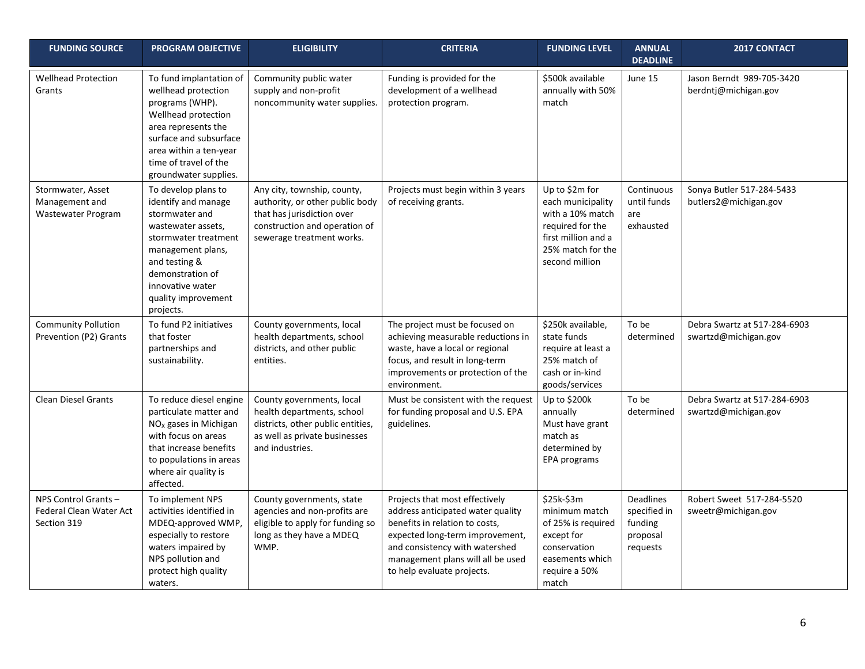| <b>FUNDING SOURCE</b>                                         | <b>PROGRAM OBJECTIVE</b>                                                                                                                                                                                                     | <b>ELIGIBILITY</b>                                                                                                                                         | <b>CRITERIA</b>                                                                                                                                                                                                                               | <b>FUNDING LEVEL</b>                                                                                                                      | <b>ANNUAL</b><br><b>DEADLINE</b>                                    | 2017 CONTACT                                         |
|---------------------------------------------------------------|------------------------------------------------------------------------------------------------------------------------------------------------------------------------------------------------------------------------------|------------------------------------------------------------------------------------------------------------------------------------------------------------|-----------------------------------------------------------------------------------------------------------------------------------------------------------------------------------------------------------------------------------------------|-------------------------------------------------------------------------------------------------------------------------------------------|---------------------------------------------------------------------|------------------------------------------------------|
| <b>Wellhead Protection</b><br>Grants                          | To fund implantation of<br>wellhead protection<br>programs (WHP).<br>Wellhead protection<br>area represents the<br>surface and subsurface<br>area within a ten-year<br>time of travel of the<br>groundwater supplies.        | Community public water<br>supply and non-profit<br>noncommunity water supplies.                                                                            | Funding is provided for the<br>development of a wellhead<br>protection program.                                                                                                                                                               | \$500k available<br>annually with 50%<br>match                                                                                            | June 15                                                             | Jason Berndt 989-705-3420<br>berdntj@michigan.gov    |
| Stormwater, Asset<br>Management and<br>Wastewater Program     | To develop plans to<br>identify and manage<br>stormwater and<br>wastewater assets,<br>stormwater treatment<br>management plans,<br>and testing &<br>demonstration of<br>innovative water<br>quality improvement<br>projects. | Any city, township, county,<br>authority, or other public body<br>that has jurisdiction over<br>construction and operation of<br>sewerage treatment works. | Projects must begin within 3 years<br>of receiving grants.                                                                                                                                                                                    | Up to \$2m for<br>each municipality<br>with a 10% match<br>required for the<br>first million and a<br>25% match for the<br>second million | Continuous<br>until funds<br>are<br>exhausted                       | Sonya Butler 517-284-5433<br>butlers2@michigan.gov   |
| <b>Community Pollution</b><br>Prevention (P2) Grants          | To fund P2 initiatives<br>that foster<br>partnerships and<br>sustainability.                                                                                                                                                 | County governments, local<br>health departments, school<br>districts, and other public<br>entities.                                                        | The project must be focused on<br>achieving measurable reductions in<br>waste, have a local or regional<br>focus, and result in long-term<br>improvements or protection of the<br>environment.                                                | \$250k available,<br>state funds<br>require at least a<br>25% match of<br>cash or in-kind<br>goods/services                               | To be<br>determined                                                 | Debra Swartz at 517-284-6903<br>swartzd@michigan.gov |
| <b>Clean Diesel Grants</b>                                    | To reduce diesel engine<br>particulate matter and<br>$NOx$ gases in Michigan<br>with focus on areas<br>that increase benefits<br>to populations in areas<br>where air quality is<br>affected.                                | County governments, local<br>health departments, school<br>districts, other public entities,<br>as well as private businesses<br>and industries.           | Must be consistent with the request<br>for funding proposal and U.S. EPA<br>guidelines.                                                                                                                                                       | Up to \$200k<br>annually<br>Must have grant<br>match as<br>determined by<br>EPA programs                                                  | To be<br>determined                                                 | Debra Swartz at 517-284-6903<br>swartzd@michigan.gov |
| NPS Control Grants-<br>Federal Clean Water Act<br>Section 319 | To implement NPS<br>activities identified in<br>MDEQ-approved WMP,<br>especially to restore<br>waters impaired by<br>NPS pollution and<br>protect high quality<br>waters.                                                    | County governments, state<br>agencies and non-profits are<br>eligible to apply for funding so<br>long as they have a MDEQ<br>WMP.                          | Projects that most effectively<br>address anticipated water quality<br>benefits in relation to costs,<br>expected long-term improvement,<br>and consistency with watershed<br>management plans will all be used<br>to help evaluate projects. | \$25k-\$3m<br>minimum match<br>of 25% is required<br>except for<br>conservation<br>easements which<br>require a 50%<br>match              | <b>Deadlines</b><br>specified in<br>funding<br>proposal<br>requests | Robert Sweet 517-284-5520<br>sweetr@michigan.gov     |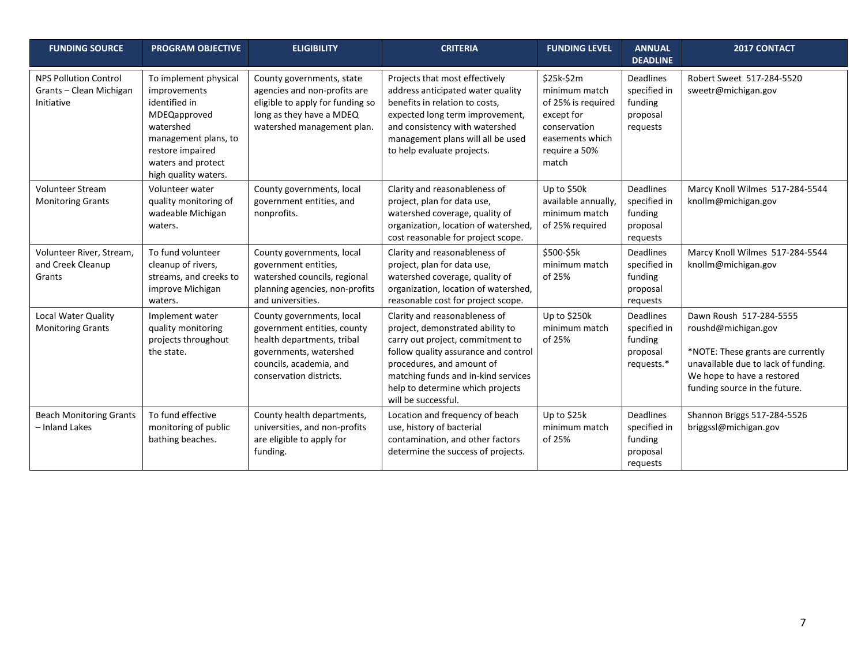| <b>FUNDING SOURCE</b>                                                 | <b>PROGRAM OBJECTIVE</b>                                                                                                                                                      | <b>ELIGIBILITY</b>                                                                                                                                                     | <b>CRITERIA</b>                                                                                                                                                                                                                                                              | <b>FUNDING LEVEL</b>                                                                                                         | <b>ANNUAL</b><br><b>DEADLINE</b>                                    | <b>2017 CONTACT</b>                                                                                                                                                                       |
|-----------------------------------------------------------------------|-------------------------------------------------------------------------------------------------------------------------------------------------------------------------------|------------------------------------------------------------------------------------------------------------------------------------------------------------------------|------------------------------------------------------------------------------------------------------------------------------------------------------------------------------------------------------------------------------------------------------------------------------|------------------------------------------------------------------------------------------------------------------------------|---------------------------------------------------------------------|-------------------------------------------------------------------------------------------------------------------------------------------------------------------------------------------|
| <b>NPS Pollution Control</b><br>Grants - Clean Michigan<br>Initiative | To implement physical<br>improvements<br>identified in<br>MDEQapproved<br>watershed<br>management plans, to<br>restore impaired<br>waters and protect<br>high quality waters. | County governments, state<br>agencies and non-profits are<br>eligible to apply for funding so<br>long as they have a MDEQ<br>watershed management plan.                | Projects that most effectively<br>address anticipated water quality<br>benefits in relation to costs,<br>expected long term improvement,<br>and consistency with watershed<br>management plans will all be used<br>to help evaluate projects.                                | \$25k-\$2m<br>minimum match<br>of 25% is required<br>except for<br>conservation<br>easements which<br>require a 50%<br>match | <b>Deadlines</b><br>specified in<br>funding<br>proposal<br>requests | Robert Sweet 517-284-5520<br>sweetr@michigan.gov                                                                                                                                          |
| <b>Volunteer Stream</b><br><b>Monitoring Grants</b>                   | Volunteer water<br>quality monitoring of<br>wadeable Michigan<br>waters.                                                                                                      | County governments, local<br>government entities, and<br>nonprofits.                                                                                                   | Clarity and reasonableness of<br>project, plan for data use,<br>watershed coverage, quality of<br>organization, location of watershed,<br>cost reasonable for project scope.                                                                                                 | Up to \$50k<br>available annually,<br>minimum match<br>of 25% required                                                       | <b>Deadlines</b><br>specified in<br>funding<br>proposal<br>requests | Marcy Knoll Wilmes 517-284-5544<br>knollm@michigan.gov                                                                                                                                    |
| Volunteer River, Stream,<br>and Creek Cleanup<br>Grants               | To fund volunteer<br>cleanup of rivers,<br>streams, and creeks to<br>improve Michigan<br>waters.                                                                              | County governments, local<br>government entities,<br>watershed councils, regional<br>planning agencies, non-profits<br>and universities.                               | Clarity and reasonableness of<br>project, plan for data use,<br>watershed coverage, quality of<br>organization, location of watershed,<br>reasonable cost for project scope.                                                                                                 | \$500-\$5k<br>minimum match<br>of 25%                                                                                        | Deadlines<br>specified in<br>funding<br>proposal<br>requests        | Marcy Knoll Wilmes 517-284-5544<br>knollm@michigan.gov                                                                                                                                    |
| Local Water Quality<br><b>Monitoring Grants</b>                       | Implement water<br>quality monitoring<br>projects throughout<br>the state.                                                                                                    | County governments, local<br>government entities, county<br>health departments, tribal<br>governments, watershed<br>councils, academia, and<br>conservation districts. | Clarity and reasonableness of<br>project, demonstrated ability to<br>carry out project, commitment to<br>follow quality assurance and control<br>procedures, and amount of<br>matching funds and in-kind services<br>help to determine which projects<br>will be successful. | Up to \$250k<br>minimum match<br>of 25%                                                                                      | Deadlines<br>specified in<br>funding<br>proposal<br>requests.*      | Dawn Roush 517-284-5555<br>roushd@michigan.gov<br>*NOTE: These grants are currently<br>unavailable due to lack of funding.<br>We hope to have a restored<br>funding source in the future. |
| <b>Beach Monitoring Grants</b><br>- Inland Lakes                      | To fund effective<br>monitoring of public<br>bathing beaches.                                                                                                                 | County health departments,<br>universities, and non-profits<br>are eligible to apply for<br>funding.                                                                   | Location and frequency of beach<br>use, history of bacterial<br>contamination, and other factors<br>determine the success of projects.                                                                                                                                       | Up to \$25k<br>minimum match<br>of 25%                                                                                       | Deadlines<br>specified in<br>funding<br>proposal<br>requests        | Shannon Briggs 517-284-5526<br>briggssl@michigan.gov                                                                                                                                      |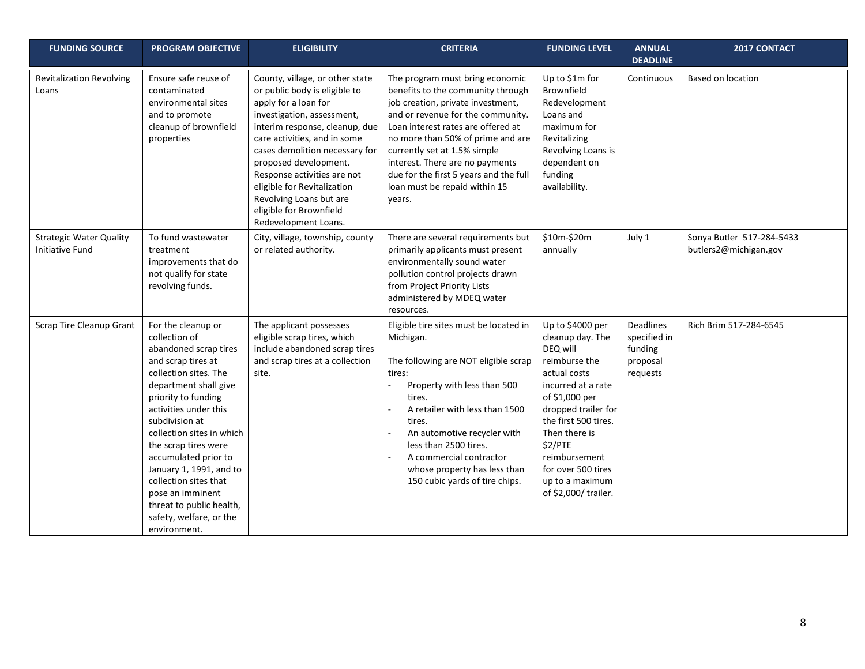| <b>FUNDING SOURCE</b>                                    | <b>PROGRAM OBJECTIVE</b>                                                                                                                                                                                                                                                                                                                                                                                                           | <b>ELIGIBILITY</b>                                                                                                                                                                                                                                                                                                                                                                              | <b>CRITERIA</b>                                                                                                                                                                                                                                                                                                                                                                   | <b>FUNDING LEVEL</b>                                                                                                                                                                                                                                                                   | <b>ANNUAL</b><br><b>DEADLINE</b>                             | 2017 CONTACT                                       |
|----------------------------------------------------------|------------------------------------------------------------------------------------------------------------------------------------------------------------------------------------------------------------------------------------------------------------------------------------------------------------------------------------------------------------------------------------------------------------------------------------|-------------------------------------------------------------------------------------------------------------------------------------------------------------------------------------------------------------------------------------------------------------------------------------------------------------------------------------------------------------------------------------------------|-----------------------------------------------------------------------------------------------------------------------------------------------------------------------------------------------------------------------------------------------------------------------------------------------------------------------------------------------------------------------------------|----------------------------------------------------------------------------------------------------------------------------------------------------------------------------------------------------------------------------------------------------------------------------------------|--------------------------------------------------------------|----------------------------------------------------|
| <b>Revitalization Revolving</b><br>Loans                 | Ensure safe reuse of<br>contaminated<br>environmental sites<br>and to promote<br>cleanup of brownfield<br>properties                                                                                                                                                                                                                                                                                                               | County, village, or other state<br>or public body is eligible to<br>apply for a loan for<br>investigation, assessment,<br>interim response, cleanup, due<br>care activities, and in some<br>cases demolition necessary for<br>proposed development.<br>Response activities are not<br>eligible for Revitalization<br>Revolving Loans but are<br>eligible for Brownfield<br>Redevelopment Loans. | The program must bring economic<br>benefits to the community through<br>job creation, private investment,<br>and or revenue for the community.<br>Loan interest rates are offered at<br>no more than 50% of prime and are<br>currently set at 1.5% simple<br>interest. There are no payments<br>due for the first 5 years and the full<br>loan must be repaid within 15<br>vears. | Up to \$1m for<br>Brownfield<br>Redevelopment<br>Loans and<br>maximum for<br>Revitalizing<br>Revolving Loans is<br>dependent on<br>funding<br>availability.                                                                                                                            | Continuous                                                   | Based on location                                  |
| <b>Strategic Water Quality</b><br><b>Initiative Fund</b> | To fund wastewater<br>treatment<br>improvements that do<br>not qualify for state<br>revolving funds.                                                                                                                                                                                                                                                                                                                               | City, village, township, county<br>or related authority.                                                                                                                                                                                                                                                                                                                                        | There are several requirements but<br>primarily applicants must present<br>environmentally sound water<br>pollution control projects drawn<br>from Project Priority Lists<br>administered by MDEQ water<br>resources.                                                                                                                                                             | \$10m-\$20m<br>annually                                                                                                                                                                                                                                                                | July 1                                                       | Sonya Butler 517-284-5433<br>butlers2@michigan.gov |
| Scrap Tire Cleanup Grant                                 | For the cleanup or<br>collection of<br>abandoned scrap tires<br>and scrap tires at<br>collection sites. The<br>department shall give<br>priority to funding<br>activities under this<br>subdivision at<br>collection sites in which<br>the scrap tires were<br>accumulated prior to<br>January 1, 1991, and to<br>collection sites that<br>pose an imminent<br>threat to public health,<br>safety, welfare, or the<br>environment. | The applicant possesses<br>eligible scrap tires, which<br>include abandoned scrap tires<br>and scrap tires at a collection<br>site.                                                                                                                                                                                                                                                             | Eligible tire sites must be located in<br>Michigan.<br>The following are NOT eligible scrap<br>tires:<br>Property with less than 500<br>tires.<br>A retailer with less than 1500<br>tires.<br>An automotive recycler with<br>less than 2500 tires.<br>A commercial contractor<br>whose property has less than<br>150 cubic yards of tire chips.                                   | Up to \$4000 per<br>cleanup day. The<br>DEQ will<br>reimburse the<br>actual costs<br>incurred at a rate<br>of \$1,000 per<br>dropped trailer for<br>the first 500 tires.<br>Then there is<br>\$2/PTE<br>reimbursement<br>for over 500 tires<br>up to a maximum<br>of \$2,000/ trailer. | Deadlines<br>specified in<br>funding<br>proposal<br>requests | Rich Brim 517-284-6545                             |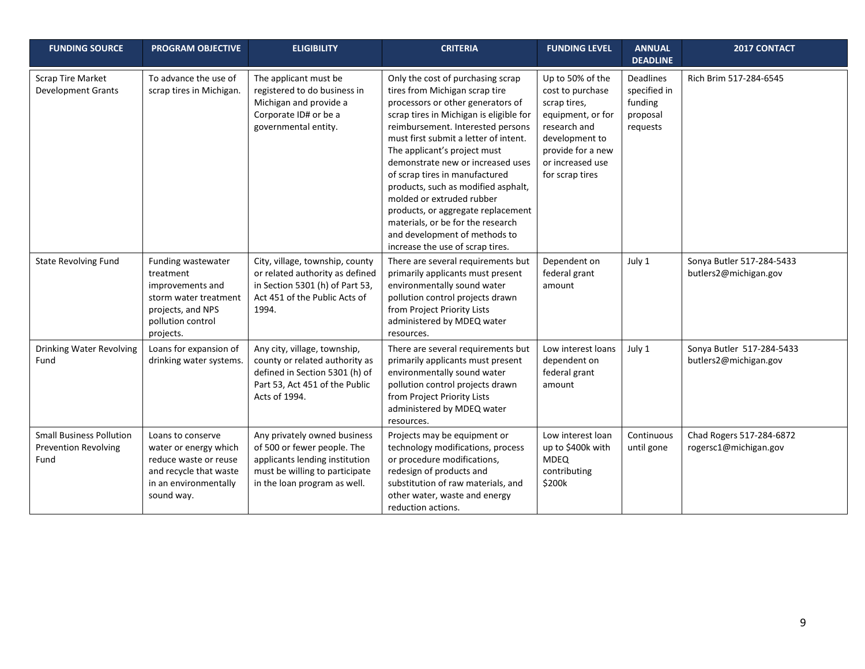| <b>FUNDING SOURCE</b>                                                  | <b>PROGRAM OBJECTIVE</b>                                                                                                             | <b>ELIGIBILITY</b>                                                                                                                                              | <b>CRITERIA</b>                                                                                                                                                                                                                                                                                                                                                                                                                                                                                                                                              | <b>FUNDING LEVEL</b>                                                                                                                                                    | <b>ANNUAL</b><br><b>DEADLINE</b>                             | <b>2017 CONTACT</b>                                |
|------------------------------------------------------------------------|--------------------------------------------------------------------------------------------------------------------------------------|-----------------------------------------------------------------------------------------------------------------------------------------------------------------|--------------------------------------------------------------------------------------------------------------------------------------------------------------------------------------------------------------------------------------------------------------------------------------------------------------------------------------------------------------------------------------------------------------------------------------------------------------------------------------------------------------------------------------------------------------|-------------------------------------------------------------------------------------------------------------------------------------------------------------------------|--------------------------------------------------------------|----------------------------------------------------|
| <b>Scrap Tire Market</b><br><b>Development Grants</b>                  | To advance the use of<br>scrap tires in Michigan.                                                                                    | The applicant must be<br>registered to do business in<br>Michigan and provide a<br>Corporate ID# or be a<br>governmental entity.                                | Only the cost of purchasing scrap<br>tires from Michigan scrap tire<br>processors or other generators of<br>scrap tires in Michigan is eligible for<br>reimbursement. Interested persons<br>must first submit a letter of intent.<br>The applicant's project must<br>demonstrate new or increased uses<br>of scrap tires in manufactured<br>products, such as modified asphalt,<br>molded or extruded rubber<br>products, or aggregate replacement<br>materials, or be for the research<br>and development of methods to<br>increase the use of scrap tires. | Up to 50% of the<br>cost to purchase<br>scrap tires,<br>equipment, or for<br>research and<br>development to<br>provide for a new<br>or increased use<br>for scrap tires | Deadlines<br>specified in<br>funding<br>proposal<br>requests | Rich Brim 517-284-6545                             |
| <b>State Revolving Fund</b>                                            | Funding wastewater<br>treatment<br>improvements and<br>storm water treatment<br>projects, and NPS<br>pollution control<br>projects.  | City, village, township, county<br>or related authority as defined<br>in Section 5301 (h) of Part 53,<br>Act 451 of the Public Acts of<br>1994.                 | There are several requirements but<br>primarily applicants must present<br>environmentally sound water<br>pollution control projects drawn<br>from Project Priority Lists<br>administered by MDEQ water<br>resources.                                                                                                                                                                                                                                                                                                                                        | Dependent on<br>federal grant<br>amount                                                                                                                                 | July 1                                                       | Sonya Butler 517-284-5433<br>butlers2@michigan.gov |
| Drinking Water Revolving<br>Fund                                       | Loans for expansion of<br>drinking water systems.                                                                                    | Any city, village, township,<br>county or related authority as<br>defined in Section 5301 (h) of<br>Part 53, Act 451 of the Public<br>Acts of 1994.             | There are several requirements but<br>primarily applicants must present<br>environmentally sound water<br>pollution control projects drawn<br>from Project Priority Lists<br>administered by MDEQ water<br>resources.                                                                                                                                                                                                                                                                                                                                        | Low interest loans<br>dependent on<br>federal grant<br>amount                                                                                                           | July 1                                                       | Sonya Butler 517-284-5433<br>butlers2@michigan.gov |
| <b>Small Business Pollution</b><br><b>Prevention Revolving</b><br>Fund | Loans to conserve<br>water or energy which<br>reduce waste or reuse<br>and recycle that waste<br>in an environmentally<br>sound way. | Any privately owned business<br>of 500 or fewer people. The<br>applicants lending institution<br>must be willing to participate<br>in the loan program as well. | Projects may be equipment or<br>technology modifications, process<br>or procedure modifications,<br>redesign of products and<br>substitution of raw materials, and<br>other water, waste and energy<br>reduction actions.                                                                                                                                                                                                                                                                                                                                    | Low interest loan<br>up to \$400k with<br><b>MDEQ</b><br>contributing<br>\$200k                                                                                         | Continuous<br>until gone                                     | Chad Rogers 517-284-6872<br>rogersc1@michigan.gov  |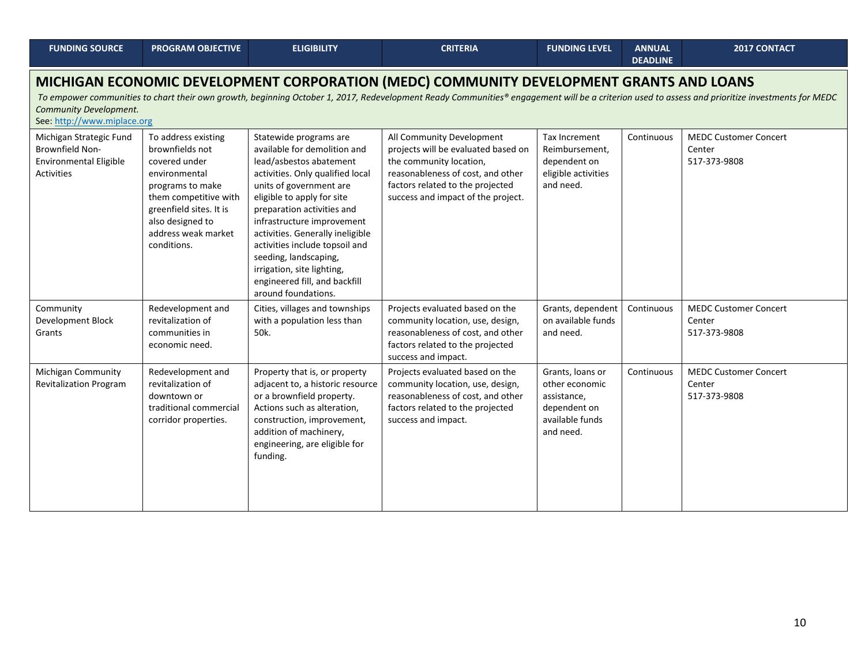| <b>FUNDING SOURCE</b>                                                                                                                                                                                                                                                                                                                               | <b>PROGRAM OBJECTIVE</b>                                                                                                                                                                                   | <b>ELIGIBILITY</b>                                                                                                                                                                                                                                                                                                                                                                                                              | <b>CRITERIA</b>                                                                                                                                                                                            | <b>FUNDING LEVEL</b>                                                                              | <b>ANNUAL</b><br><b>DEADLINE</b> | 2017 CONTACT                                           |  |  |
|-----------------------------------------------------------------------------------------------------------------------------------------------------------------------------------------------------------------------------------------------------------------------------------------------------------------------------------------------------|------------------------------------------------------------------------------------------------------------------------------------------------------------------------------------------------------------|---------------------------------------------------------------------------------------------------------------------------------------------------------------------------------------------------------------------------------------------------------------------------------------------------------------------------------------------------------------------------------------------------------------------------------|------------------------------------------------------------------------------------------------------------------------------------------------------------------------------------------------------------|---------------------------------------------------------------------------------------------------|----------------------------------|--------------------------------------------------------|--|--|
| MICHIGAN ECONOMIC DEVELOPMENT CORPORATION (MEDC) COMMUNITY DEVELOPMENT GRANTS AND LOANS<br>To empower communities to chart their own growth, beginning October 1, 2017, Redevelopment Ready Communities® engagement will be a criterion used to assess and prioritize investments for MEDC<br>Community Development.<br>See: http://www.miplace.org |                                                                                                                                                                                                            |                                                                                                                                                                                                                                                                                                                                                                                                                                 |                                                                                                                                                                                                            |                                                                                                   |                                  |                                                        |  |  |
| Michigan Strategic Fund<br><b>Brownfield Non-</b><br>Environmental Eligible<br><b>Activities</b>                                                                                                                                                                                                                                                    | To address existing<br>brownfields not<br>covered under<br>environmental<br>programs to make<br>them competitive with<br>greenfield sites. It is<br>also designed to<br>address weak market<br>conditions. | Statewide programs are<br>available for demolition and<br>lead/asbestos abatement<br>activities. Only qualified local<br>units of government are<br>eligible to apply for site<br>preparation activities and<br>infrastructure improvement<br>activities. Generally ineligible<br>activities include topsoil and<br>seeding, landscaping,<br>irrigation, site lighting,<br>engineered fill, and backfill<br>around foundations. | All Community Development<br>projects will be evaluated based on<br>the community location,<br>reasonableness of cost, and other<br>factors related to the projected<br>success and impact of the project. | Tax Increment<br>Reimbursement,<br>dependent on<br>eligible activities<br>and need.               | Continuous                       | <b>MEDC Customer Concert</b><br>Center<br>517-373-9808 |  |  |
| Community<br>Development Block<br>Grants                                                                                                                                                                                                                                                                                                            | Redevelopment and<br>revitalization of<br>communities in<br>economic need.                                                                                                                                 | Cities, villages and townships<br>with a population less than<br>50k.                                                                                                                                                                                                                                                                                                                                                           | Projects evaluated based on the<br>community location, use, design,<br>reasonableness of cost, and other<br>factors related to the projected<br>success and impact.                                        | Grants, dependent<br>on available funds<br>and need.                                              | Continuous                       | <b>MEDC Customer Concert</b><br>Center<br>517-373-9808 |  |  |
| Michigan Community<br><b>Revitalization Program</b>                                                                                                                                                                                                                                                                                                 | Redevelopment and<br>revitalization of<br>downtown or<br>traditional commercial<br>corridor properties.                                                                                                    | Property that is, or property<br>adjacent to, a historic resource<br>or a brownfield property.<br>Actions such as alteration,<br>construction, improvement,<br>addition of machinery,<br>engineering, are eligible for<br>funding.                                                                                                                                                                                              | Projects evaluated based on the<br>community location, use, design,<br>reasonableness of cost, and other<br>factors related to the projected<br>success and impact.                                        | Grants, loans or<br>other economic<br>assistance,<br>dependent on<br>available funds<br>and need. | Continuous                       | <b>MEDC Customer Concert</b><br>Center<br>517-373-9808 |  |  |